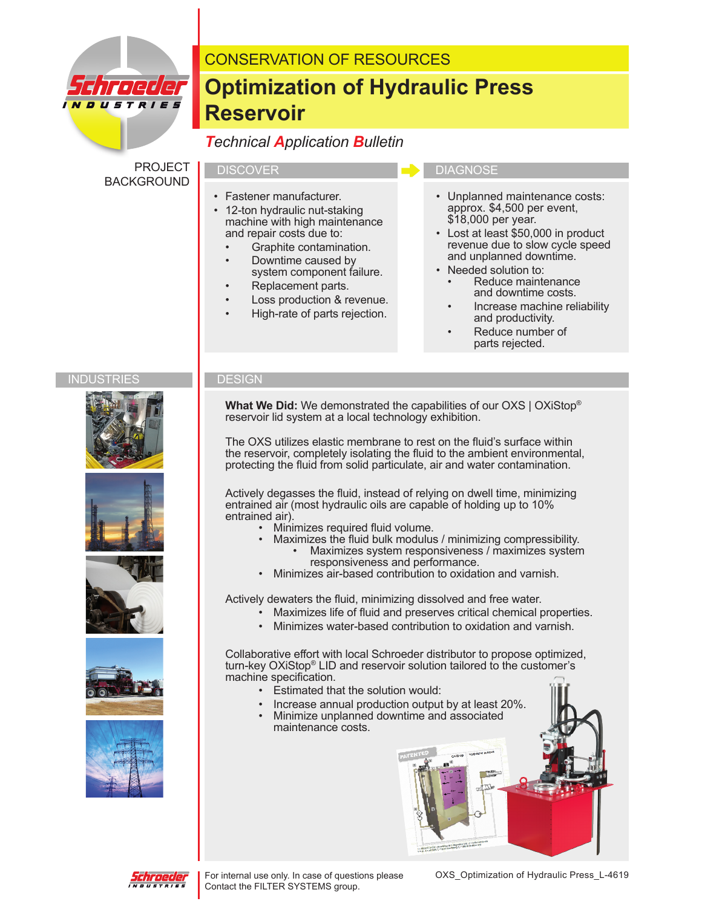

# CONSERVATION OF RESOURCES

# **Optimization of Hydraulic Press Reservoir**

## *Technical Application Bulletin*

PROJECT BACKGROUND

- 
- Fastener manufacturer.
- 12-ton hydraulic nut-staking machine with high maintenance and repair costs due to:
	- Graphite contamination.
	- Downtime caused by system component failure.
	- Replacement parts.
	- Loss production & revenue.
	- High-rate of parts rejection.

#### DISCOVER **DIAGNOSE**

- Unplanned maintenance costs: approx. \$4,500 per event, \$18,000 per year.
- Lost at least \$50,000 in product revenue due to slow cycle speed and unplanned downtime.
- Needed solution to: Reduce maintenance and downtime costs.
	- Increase machine reliability and productivity.
	- Reduce number of parts rejected.

#### INDUSTRIES **DESIGN**











 **What We Did:** We demonstrated the capabilities of our OXS | OXiStop® reservoir lid system at a local technology exhibition.

 The OXS utilizes elastic membrane to rest on the fluid's surface within the reservoir, completely isolating the fluid to the ambient environmental, protecting the fluid from solid particulate, air and water contamination.

 Actively degasses the fluid, instead of relying on dwell time, minimizing entrained air (most hydraulic oils are capable of holding up to 10% entrained air).

- 
- Minimizes required fluid volume.<br>Maximizes the fluid bulk modulus / minimizing compressibility. • Maximizes system responsiveness / maximizes system
	- responsiveness and performance. • Minimizes air-based contribution to oxidation and varnish.

Actively dewaters the fluid, minimizing dissolved and free water.

• Maximizes life of fluid and preserves critical chemical properties.

 $\mathbf{t} = \mathbf{M}\mathbf{P}\mathbf{G}\mathbf{X} \cdot (\mathbf{M}\mathbf{G}\mathbf{X}) \cdot \mathbf{G}\mathbf{P} \cdot \mathbf{M}\mathbf{P}$ 

• Minimizes water-based contribution to oxidation and varnish.

 Collaborative effort with local Schroeder distributor to propose optimized, turn-key OXiStop® LID and reservoir solution tailored to the customer's machine specification.

- Estimated that the solution would:
- 
- Increase annual production output by at least 20%. Minimize unplanned downtime and associated maintenance costs.



For internal use only. In case of questions please OXS\_Optimization of Hydraulic Press\_L-4619 Contact the FILTER SYSTEMS group.